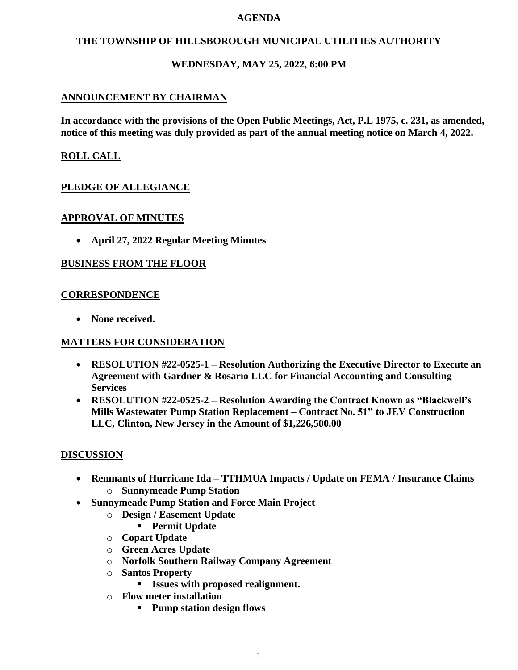#### **AGENDA**

## **THE TOWNSHIP OF HILLSBOROUGH MUNICIPAL UTILITIES AUTHORITY**

## **WEDNESDAY, MAY 25, 2022, 6:00 PM**

## **ANNOUNCEMENT BY CHAIRMAN**

**In accordance with the provisions of the Open Public Meetings, Act, P.L 1975, c. 231, as amended, notice of this meeting was duly provided as part of the annual meeting notice on March 4, 2022.**

## **ROLL CALL**

## **PLEDGE OF ALLEGIANCE**

### **APPROVAL OF MINUTES**

• **April 27, 2022 Regular Meeting Minutes**

### **BUSINESS FROM THE FLOOR**

#### **CORRESPONDENCE**

• **None received.**

### **MATTERS FOR CONSIDERATION**

- **RESOLUTION #22-0525-1 – Resolution Authorizing the Executive Director to Execute an Agreement with Gardner & Rosario LLC for Financial Accounting and Consulting Services**
- **RESOLUTION #22-0525-2 – Resolution Awarding the Contract Known as "Blackwell's Mills Wastewater Pump Station Replacement – Contract No. 51" to JEV Construction LLC, Clinton, New Jersey in the Amount of \$1,226,500.00**

### **DISCUSSION**

- **Remnants of Hurricane Ida – TTHMUA Impacts / Update on FEMA / Insurance Claims** o **Sunnymeade Pump Station**
- **Sunnymeade Pump Station and Force Main Project**
	- o **Design / Easement Update**
		- **Permit Update**
	- o **Copart Update**
	- o **Green Acres Update**
	- o **Norfolk Southern Railway Company Agreement**
	- o **Santos Property**
		- **Issues with proposed realignment.**
	- o **Flow meter installation**
		- **Pump station design flows**